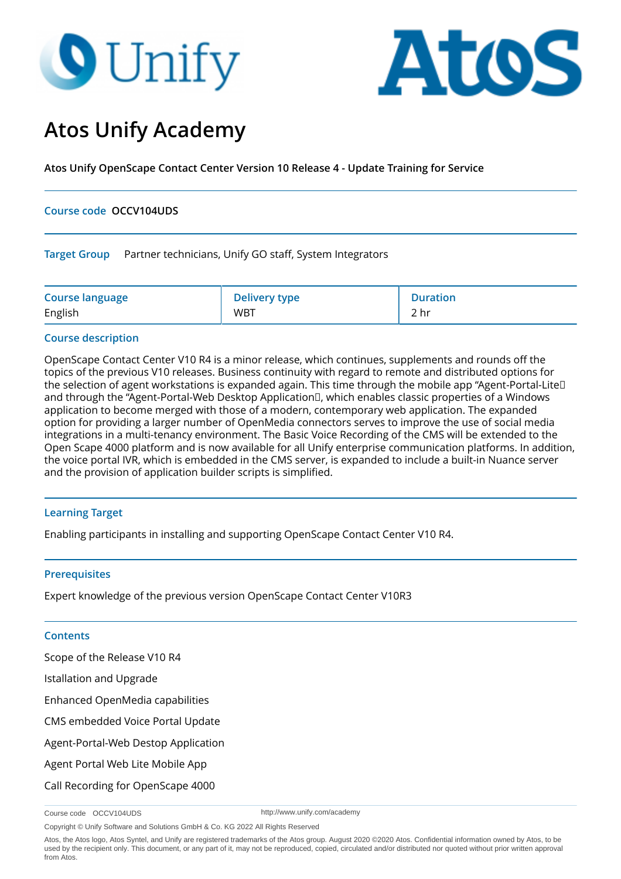# **O** Unify



## **Atos Unify Academy**

**Atos Unify OpenScape Contact Center Version 10 Release 4 - Update Training for Service**

#### **Course code OCCV104UDS**

**Target Group** Partner technicians, Unify GO staff, System Integrators

| <b>Course language</b> | <b>Delivery type</b> | Duration |
|------------------------|----------------------|----------|
| English                | <b>WBT</b>           | 2 hr     |

#### **Course description**

OpenScape Contact Center V10 R4 is a minor release, which continues, supplements and rounds off the topics of the previous V10 releases. Business continuity with regard to remote and distributed options for the selection of agent workstations is expanded again. This time through the mobile app "Agent-Portal-Lite and through the "Agent-Portal-Web Desktop Application<sup>[]</sup>, which enables classic properties of a Windows application to become merged with those of a modern, contemporary web application. The expanded option for providing a larger number of OpenMedia connectors serves to improve the use of social media integrations in a multi-tenancy environment. The Basic Voice Recording of the CMS will be extended to the Open Scape 4000 platform and is now available for all Unify enterprise communication platforms. In addition, the voice portal IVR, which is embedded in the CMS server, is expanded to include a built-in Nuance server and the provision of application builder scripts is simplified.

### **Learning Target**

Enabling participants in installing and supporting OpenScape Contact Center V10 R4.

#### **Prerequisites**

Expert knowledge of the previous version OpenScape Contact Center V10R3

#### **Contents**

Scope of the Release V10 R4

Istallation and Upgrade

Enhanced OpenMedia capabilities

CMS embedded Voice Portal Update

Agent-Portal-Web Destop Application

Agent Portal Web Lite Mobile App

Call Recording for OpenScape 4000

http://www.unify.com/academy

Copyright © Unify Software and Solutions GmbH & Co. KG 2022 All Rights Reserved

Course code OCCV104UDS

Atos, the Atos logo, Atos Syntel, and Unify are registered trademarks of the Atos group. August 2020 ©2020 Atos. Confidential information owned by Atos, to be used by the recipient only. This document, or any part of it, may not be reproduced, copied, circulated and/or distributed nor quoted without prior written approval from Atos.